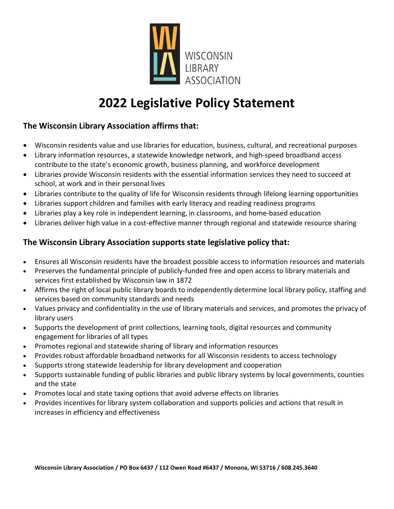

# **2022 Legislative Policy Statement**

## **The Wisconsin Library Association affirms that:**

- Wisconsin residents value and use libraries for education, business, cultural, and recreational purposes
- Library information resources, a statewide knowledge network, and high-speed broadband access contribute to the state's economic growth, business planning, and workforce development
- Libraries provide Wisconsin residents with the essential information services they need to succeed at school, at work and in their personal lives
- Libraries contribute to the quality of life for Wisconsin residents through lifelong learning opportunities
- Libraries support children and families with early literacy and reading readiness programs
- Libraries play a key role in independent learning, in classrooms, and home-based education
- Libraries deliver high value in a cost-effective manner through regional and statewide resource sharing

## **The Wisconsin Library Association supports state legislative policy that:**

- Ensures all Wisconsin residents have the broadest possible access to information resources and materials
- Preserves the fundamental principle of publicly-funded free and open access to library materials and services first established by Wisconsin law in 1872
- Affirms the right of local public library boards to independently determine local library policy, staffing and services based on community standards and needs
- Values privacy and confidentiality in the use of library materials and services, and promotes the privacy of library users
- Supports the development of print collections, learning tools, digital resources and community engagement for libraries of all types
- Promotes regional and statewide sharing of library and information resources
- Provides robust affordable broadband networks for all Wisconsin residents to access technology
- Supports strong statewide leadership for library development and cooperation
- Supports sustainable funding of public libraries and public library systems by local governments, counties and the state
- Promotes local and state taxing options that avoid adverse effects on libraries
- Provides incentives for library system collaboration and supports policies and actions that result in increases in efficiency and effectiveness